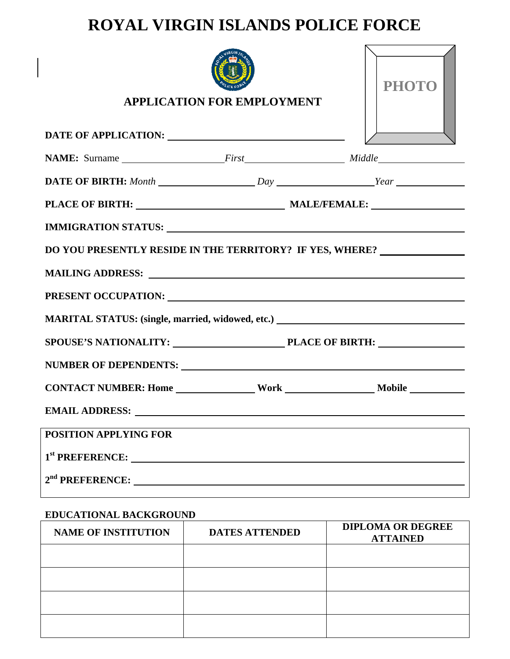# **ROYAL VIRGIN ISLANDS POLICE FORCE**

| <b>APPLICATION FOR EMPLOYMENT</b>                                                                                                                                                                                              | <b>PHOTO</b> |
|--------------------------------------------------------------------------------------------------------------------------------------------------------------------------------------------------------------------------------|--------------|
|                                                                                                                                                                                                                                |              |
| NAME: Surname First First Middle                                                                                                                                                                                               |              |
|                                                                                                                                                                                                                                |              |
|                                                                                                                                                                                                                                |              |
| IMMIGRATION STATUS: University of the Community of the Community of the Community of the Community of the Community of the Community of the Community of the Community of the Community of the Community of the Community of t |              |
| DO YOU PRESENTLY RESIDE IN THE TERRITORY? IF YES, WHERE? _______________________                                                                                                                                               |              |
| MAILING ADDRESS: Latin and Contract and Contract of the Contract of the Contract of the Contract of the Contract of the Contract of the Contract of the Contract of the Contract of the Contract of the Contract of the Contra |              |
| PRESENT OCCUPATION: NORTH PRESENT OCCUPATION:                                                                                                                                                                                  |              |
| MARITAL STATUS: (single, married, widowed, etc.) ________________________________                                                                                                                                              |              |
| SPOUSE'S NATIONALITY: PLACE OF BIRTH:                                                                                                                                                                                          |              |
| NUMBER OF DEPENDENTS:                                                                                                                                                                                                          |              |
|                                                                                                                                                                                                                                |              |
| <b>EMAIL ADDRESS:</b>                                                                                                                                                                                                          |              |
| <b>POSITION APPLYING FOR</b>                                                                                                                                                                                                   |              |
| 1 <sup>st</sup> PREFERENCE:                                                                                                                                                                                                    |              |
|                                                                                                                                                                                                                                |              |

## **EDUCATIONAL BACKGROUND**

| <b>NAME OF INSTITUTION</b> | <b>DATES ATTENDED</b> | <b>DIPLOMA OR DEGREE</b><br><b>ATTAINED</b> |
|----------------------------|-----------------------|---------------------------------------------|
|                            |                       |                                             |
|                            |                       |                                             |
|                            |                       |                                             |
|                            |                       |                                             |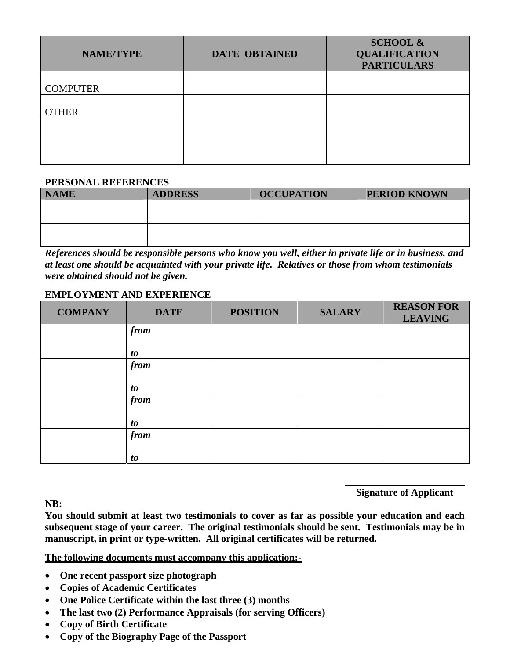| <b>NAME/TYPE</b> | <b>DATE OBTAINED</b> | <b>SCHOOL &amp;</b><br><b>QUALIFICATION</b><br><b>PARTICULARS</b> |
|------------------|----------------------|-------------------------------------------------------------------|
|                  |                      |                                                                   |
| <b>COMPUTER</b>  |                      |                                                                   |
|                  |                      |                                                                   |
| <b>OTHER</b>     |                      |                                                                   |
|                  |                      |                                                                   |
|                  |                      |                                                                   |
|                  |                      |                                                                   |
|                  |                      |                                                                   |

#### **PERSONAL REFERENCES**

| <b>NAME</b> | <b>ADDRESS</b> | <b>OCCUPATION</b> | <b>PERIOD KNOWN</b> |
|-------------|----------------|-------------------|---------------------|
|             |                |                   |                     |
|             |                |                   |                     |
|             |                |                   |                     |
|             |                |                   |                     |

*References should be responsible persons who know you well, either in private life or in business, and at least one should be acquainted with your private life. Relatives or those from whom testimonials were obtained should not be given.* 

### **EMPLOYMENT AND EXPERIENCE**

| <b>COMPANY</b> | <b>DATE</b> | <b>POSITION</b> | <b>SALARY</b> | <b>REASON FOR</b><br><b>LEAVING</b> |
|----------------|-------------|-----------------|---------------|-------------------------------------|
|                | from        |                 |               |                                     |
|                | <i>to</i>   |                 |               |                                     |
|                | from        |                 |               |                                     |
|                | <i>to</i>   |                 |               |                                     |
|                | from        |                 |               |                                     |
|                | <i>to</i>   |                 |               |                                     |
|                | from        |                 |               |                                     |
|                | <i>to</i>   |                 |               |                                     |

**NB:** 

**Signature of Applicant** 

**You should submit at least two testimonials to cover as far as possible your education and each subsequent stage of your career. The original testimonials should be sent. Testimonials may be in manuscript, in print or type-written. All original certificates will be returned.** 

#### **The following documents must accompany this application:-**

- **One recent passport size photograph**
- **Copies of Academic Certificates**
- **One Police Certificate within the last three (3) months**
- **The last two (2) Performance Appraisals (for serving Officers)**
- **Copy of Birth Certificate**
- **Copy of the Biography Page of the Passport**